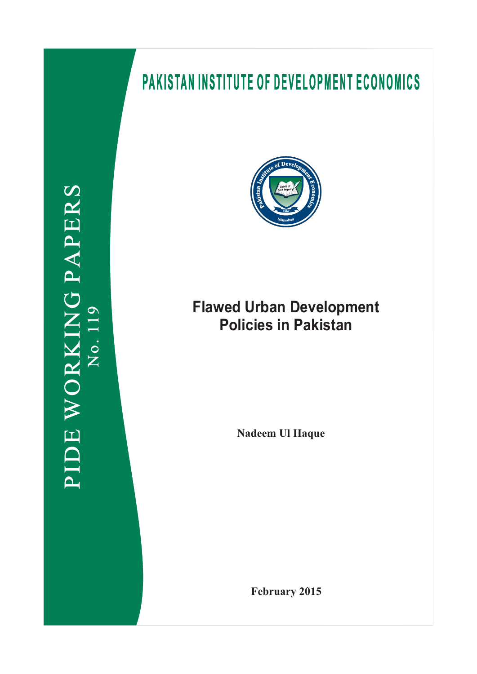# **PAKISTAN INSTITUTE OF DEVELOPMENT ECONOMICS**





## **Flawed Urban Development Policies in Pakistan**

**Nadeem Ul Haque**

**February 2015**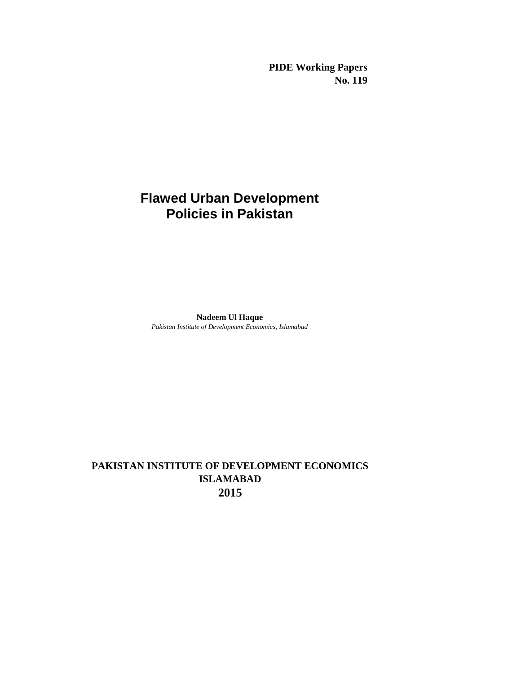**PIDE Working Papers No. 119**

## **Flawed Urban Development Policies in Pakistan**

**Nadeem Ul Haque** *Pakistan Institute of Development Economics, Islamabad*

## **PAKISTAN INSTITUTE OF DEVELOPMENT ECONOMICS ISLAMABAD 2015**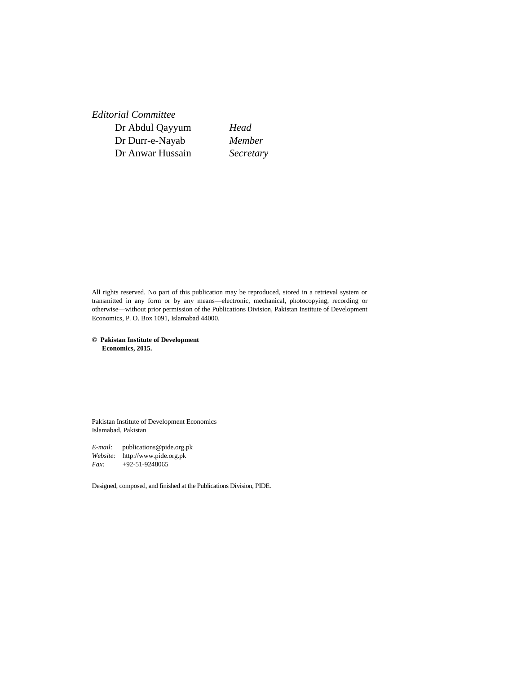*Editorial Committee* Dr Abdul Qayyum *Head* Dr Durr-e-Nayab *Member* Dr Anwar Hussain *Secretary*

All rights reserved. No part of this publication may be reproduced, stored in a retrieval system or transmitted in any form or by any means—electronic, mechanical, photocopying, recording or otherwise—without prior permission of the Publications Division, Pakistan Institute of Development Economics, P. O. Box 1091, Islamabad 44000.

**© Pakistan Institute of Development Economics, 2015.**

Pakistan Institute of Development Economics Islamabad, Pakistan

*E-mail:* publications@pide.org.pk *Website:* http://www.pide.org.pk *Fax:* +92-51-9248065

Designed, composed, and finished at the Publications Division, PIDE.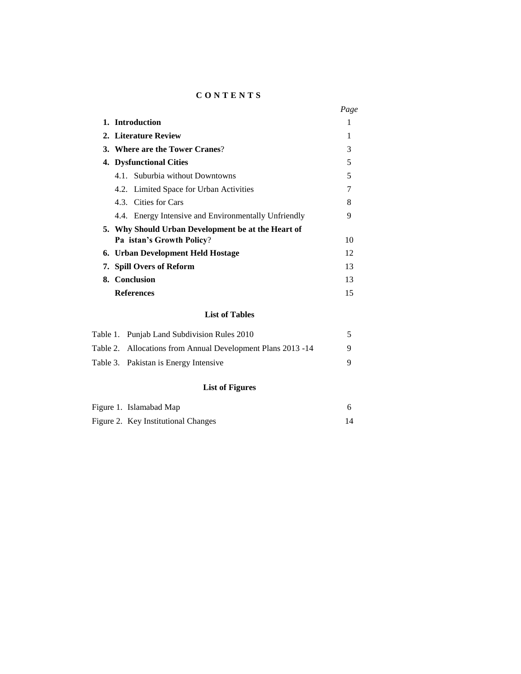### **C O N T E N T S**

|                                                      | Page |  |  |
|------------------------------------------------------|------|--|--|
| 1. Introduction                                      |      |  |  |
| 2. Literature Review                                 | 1    |  |  |
| 3. Where are the Tower Cranes?                       | 3    |  |  |
| 4. Dysfunctional Cities                              |      |  |  |
| 4.1. Suburbia without Downtowns                      | 5    |  |  |
| 4.2. Limited Space for Urban Activities              |      |  |  |
| 4.3. Cities for Cars                                 | 8    |  |  |
| 4.4. Energy Intensive and Environmentally Unfriendly | 9    |  |  |
| 5. Why Should Urban Development be at the Heart of   |      |  |  |
| 10<br><b>Pa istan's Growth Policy?</b>               |      |  |  |
| 6. Urban Development Held Hostage                    |      |  |  |
| 7. Spill Overs of Reform                             |      |  |  |
| 8. Conclusion<br>13                                  |      |  |  |
| <b>References</b>                                    | 15   |  |  |
|                                                      |      |  |  |

## **List of Tables**

| Table 1. Punjab Land Subdivision Rules 2010                 |   |
|-------------------------------------------------------------|---|
| Table 2. Allocations from Annual Development Plans 2013 -14 | 9 |
| Table 3. Pakistan is Energy Intensive                       |   |

## **List of Figures**

| Figure 1. Islamabad Map             |  |
|-------------------------------------|--|
| Figure 2. Key Institutional Changes |  |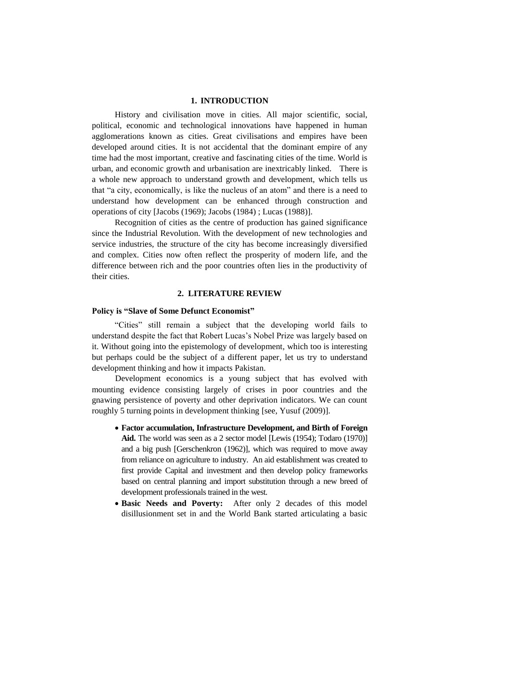#### **1. INTRODUCTION**

History and civilisation move in cities. All major scientific, social, political, economic and technological innovations have happened in human agglomerations known as cities. Great civilisations and empires have been developed around cities. It is not accidental that the dominant empire of any time had the most important, creative and fascinating cities of the time. World is urban, and economic growth and urbanisation are inextricably linked. There is a whole new approach to understand growth and development, which tells us that "a city, economically, is like the nucleus of an atom" and there is a need to understand how development can be enhanced through construction and operations of city [Jacobs (1969); Jacobs (1984) ; Lucas (1988)].

Recognition of cities as the centre of production has gained significance since the Industrial Revolution. With the development of new technologies and service industries, the structure of the city has become increasingly diversified and complex. Cities now often reflect the prosperity of modern life, and the difference between rich and the poor countries often lies in the productivity of their cities.

#### **2. LITERATURE REVIEW**

#### **Policy is "Slave of Some Defunct Economist"**

"Cities" still remain a subject that the developing world fails to understand despite the fact that Robert Lucas's Nobel Prize was largely based on it. Without going into the epistemology of development, which too is interesting but perhaps could be the subject of a different paper, let us try to understand development thinking and how it impacts Pakistan.

Development economics is a young subject that has evolved with mounting evidence consisting largely of crises in poor countries and the gnawing persistence of poverty and other deprivation indicators. We can count roughly 5 turning points in development thinking [see, Yusuf (2009)].

- **Factor accumulation, Infrastructure Development, and Birth of Foreign Aid.** The world was seen as a 2 sector model [Lewis (1954); Todaro (1970)] and a big push [Gerschenkron (1962)], which was required to move away from reliance on agriculture to industry. An aid establishment was created to first provide Capital and investment and then develop policy frameworks based on central planning and import substitution through a new breed of development professionals trained in the west.
- **Basic Needs and Poverty:** After only 2 decades of this model disillusionment set in and the World Bank started articulating a basic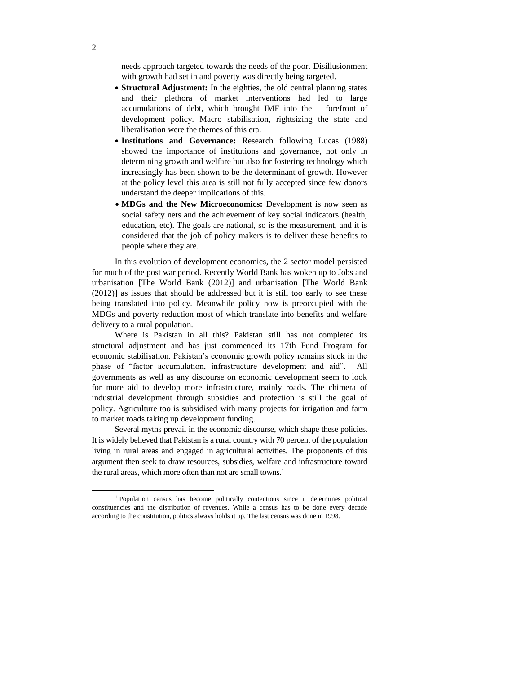needs approach targeted towards the needs of the poor. Disillusionment with growth had set in and poverty was directly being targeted.

- **Structural Adjustment:** In the eighties, the old central planning states and their plethora of market interventions had led to large accumulations of debt, which brought IMF into the forefront of development policy. Macro stabilisation, rightsizing the state and liberalisation were the themes of this era.
- **Institutions and Governance:** Research following Lucas (1988) showed the importance of institutions and governance, not only in determining growth and welfare but also for fostering technology which increasingly has been shown to be the determinant of growth. However at the policy level this area is still not fully accepted since few donors understand the deeper implications of this.
- **MDGs and the New Microeconomics:** Development is now seen as social safety nets and the achievement of key social indicators (health, education, etc). The goals are national, so is the measurement, and it is considered that the job of policy makers is to deliver these benefits to people where they are.

In this evolution of development economics, the 2 sector model persisted for much of the post war period. Recently World Bank has woken up to Jobs and urbanisation [The World Bank (2012)] and urbanisation [The World Bank (2012)] as issues that should be addressed but it is still too early to see these being translated into policy. Meanwhile policy now is preoccupied with the MDGs and poverty reduction most of which translate into benefits and welfare delivery to a rural population.

Where is Pakistan in all this? Pakistan still has not completed its structural adjustment and has just commenced its 17th Fund Program for economic stabilisation. Pakistan's economic growth policy remains stuck in the phase of "factor accumulation, infrastructure development and aid". All governments as well as any discourse on economic development seem to look for more aid to develop more infrastructure, mainly roads. The chimera of industrial development through subsidies and protection is still the goal of policy. Agriculture too is subsidised with many projects for irrigation and farm to market roads taking up development funding.

Several myths prevail in the economic discourse, which shape these policies. It is widely believed that Pakistan is a rural country with 70 percent of the population living in rural areas and engaged in agricultural activities. The proponents of this argument then seek to draw resources, subsidies, welfare and infrastructure toward the rural areas, which more often than not are small towns.<sup>1</sup>

l

<sup>1</sup> Population census has become politically contentious since it determines political constituencies and the distribution of revenues. While a census has to be done every decade according to the constitution, politics always holds it up. The last census was done in 1998.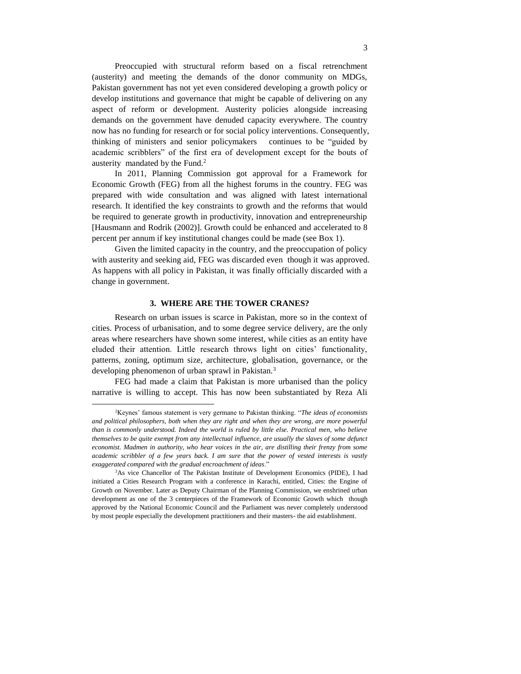Preoccupied with structural reform based on a fiscal retrenchment (austerity) and meeting the demands of the donor community on MDGs, Pakistan government has not yet even considered developing a growth policy or develop institutions and governance that might be capable of delivering on any aspect of reform or development. Austerity policies alongside increasing demands on the government have denuded capacity everywhere. The country now has no funding for research or for social policy interventions. Consequently, thinking of ministers and senior policymakers continues to be "guided by academic scribblers" of the first era of development except for the bouts of austerity mandated by the Fund.<sup>2</sup>

In 2011, Planning Commission got approval for a Framework for Economic Growth (FEG) from all the highest forums in the country. FEG was prepared with wide consultation and was aligned with latest international research. It identified the key constraints to growth and the reforms that would be required to generate growth in productivity, innovation and entrepreneurship [Hausmann and Rodrik (2002)]. Growth could be enhanced and accelerated to 8 percent per annum if key institutional changes could be made (see Box 1).

Given the limited capacity in the country, and the preoccupation of policy with austerity and seeking aid, FEG was discarded even though it was approved. As happens with all policy in Pakistan, it was finally officially discarded with a change in government.

#### **3. WHERE ARE THE TOWER CRANES?**

Research on urban issues is scarce in Pakistan, more so in the context of cities. Process of urbanisation, and to some degree service delivery, are the only areas where researchers have shown some interest, while cities as an entity have eluded their attention. Little research throws light on cities' functionality, patterns, zoning, optimum size, architecture, globalisation, governance, or the developing phenomenon of urban sprawl in Pakistan.<sup>3</sup>

FEG had made a claim that Pakistan is more urbanised than the policy narrative is willing to accept. This has now been substantiated by Reza Ali

 $\overline{\phantom{a}}$ 

<sup>2</sup>Keynes' famous statement is very germane to Pakistan thinking. "*The ideas of economists and political philosophers, both when they are right and when they are wrong, are more powerful than is commonly understood. Indeed the world is ruled by little else. Practical men, who believe themselves to be quite exempt from any intellectual influence, are usually the slaves of some defunct economist. Madmen in authority, who hear voices in the air, are distilling their frenzy from some academic scribbler of a few years back. I am sure that the power of vested interests is vastly exaggerated compared with the gradual encroachment of ideas*."

<sup>3</sup>As vice Chancellor of The Pakistan Institute of Development Economics (PIDE), I had initiated a Cities Research Program with a conference in Karachi, entitled, Cities: the Engine of Growth on November. Later as Deputy Chairman of the Planning Commission, we enshrined urban development as one of the 3 centerpieces of the Framework of Economic Growth which though approved by the National Economic Council and the Parliament was never completely understood by most people especially the development practitioners and their masters- the aid establishment.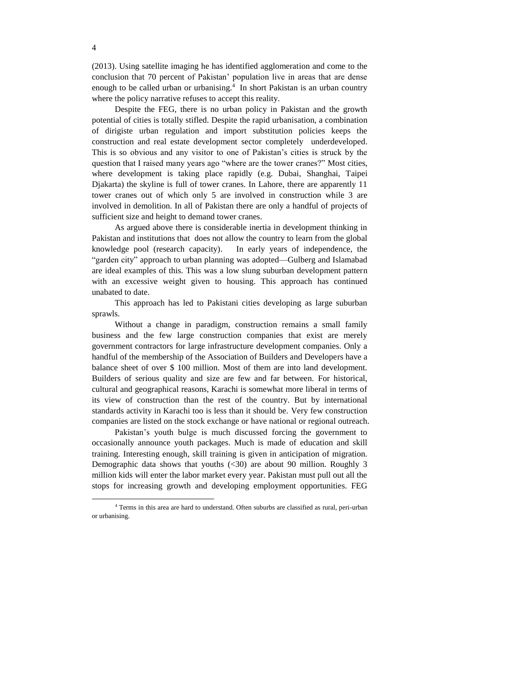(2013). Using satellite imaging he has identified agglomeration and come to the conclusion that 70 percent of Pakistan' population live in areas that are dense enough to be called urban or urbanising.<sup>4</sup> In short Pakistan is an urban country where the policy narrative refuses to accept this reality.

Despite the FEG, there is no urban policy in Pakistan and the growth potential of cities is totally stifled. Despite the rapid urbanisation, a combination of dirigiste urban regulation and import substitution policies keeps the construction and real estate development sector completely underdeveloped. This is so obvious and any visitor to one of Pakistan's cities is struck by the question that I raised many years ago "where are the tower cranes?" Most cities, where development is taking place rapidly (e.g. Dubai, Shanghai, Taipei Djakarta) the skyline is full of tower cranes. In Lahore, there are apparently 11 tower cranes out of which only 5 are involved in construction while 3 are involved in demolition. In all of Pakistan there are only a handful of projects of sufficient size and height to demand tower cranes.

As argued above there is considerable inertia in development thinking in Pakistan and institutions that does not allow the country to learn from the global knowledge pool (research capacity). In early years of independence, the "garden city" approach to urban planning was adopted—Gulberg and Islamabad are ideal examples of this. This was a low slung suburban development pattern with an excessive weight given to housing. This approach has continued unabated to date.

This approach has led to Pakistani cities developing as large suburban sprawls.

Without a change in paradigm, construction remains a small family business and the few large construction companies that exist are merely government contractors for large infrastructure development companies. Only a handful of the membership of the Association of Builders and Developers have a balance sheet of over \$ 100 million. Most of them are into land development. Builders of serious quality and size are few and far between. For historical, cultural and geographical reasons, Karachi is somewhat more liberal in terms of its view of construction than the rest of the country. But by international standards activity in Karachi too is less than it should be. Very few construction companies are listed on the stock exchange or have national or regional outreach.

Pakistan's youth bulge is much discussed forcing the government to occasionally announce youth packages. Much is made of education and skill training. Interesting enough, skill training is given in anticipation of migration. Demographic data shows that youths  $(\leq 30)$  are about 90 million. Roughly 3 million kids will enter the labor market every year. Pakistan must pull out all the stops for increasing growth and developing employment opportunities. FEG

 $\overline{a}$ 

<sup>4</sup> Terms in this area are hard to understand. Often suburbs are classified as rural, peri-urban or urbanising.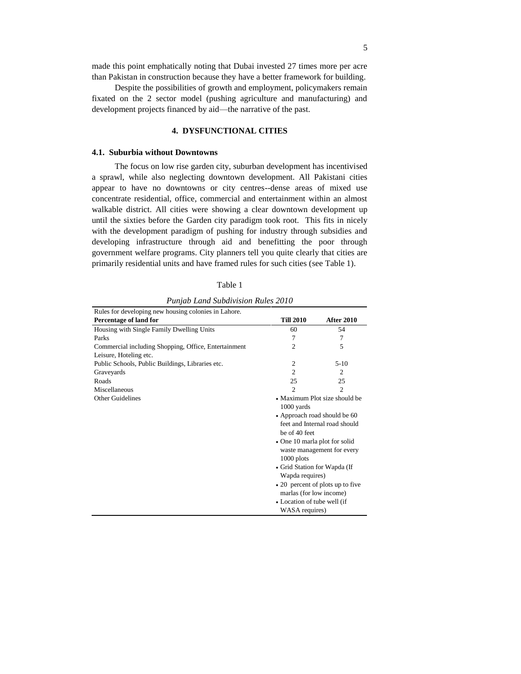made this point emphatically noting that Dubai invested 27 times more per acre than Pakistan in construction because they have a better framework for building.

Despite the possibilities of growth and employment, policymakers remain fixated on the 2 sector model (pushing agriculture and manufacturing) and development projects financed by aid—the narrative of the past.

#### **4. DYSFUNCTIONAL CITIES**

#### **4.1. Suburbia without Downtowns**

The focus on low rise garden city, suburban development has incentivised a sprawl, while also neglecting downtown development. All Pakistani cities appear to have no downtowns or city centres--dense areas of mixed use concentrate residential, office, commercial and entertainment within an almost walkable district. All cities were showing a clear downtown development up until the sixties before the Garden city paradigm took root. This fits in nicely with the development paradigm of pushing for industry through subsidies and developing infrastructure through aid and benefitting the poor through government welfare programs. City planners tell you quite clearly that cities are primarily residential units and have framed rules for such cities (see Table 1).

| ۹ |
|---|
|---|

*Punjab Land Subdivision Rules 2010*

| Rules for developing new housing colonies in Lahore. |                                  |                            |  |
|------------------------------------------------------|----------------------------------|----------------------------|--|
| Percentage of land for                               | <b>Till 2010</b>                 | <b>After 2010</b>          |  |
| Housing with Single Family Dwelling Units            | 60                               | 54                         |  |
| Parks                                                | 7                                | 7                          |  |
| Commercial including Shopping, Office, Entertainment | 2                                | 5                          |  |
| Leisure, Hoteling etc.                               |                                  |                            |  |
| Public Schools, Public Buildings, Libraries etc.     | $\overline{2}$                   | $5-10$                     |  |
| Graveyards                                           | $\overline{c}$                   | 2                          |  |
| Roads                                                | 25                               | 25                         |  |
| Miscellaneous                                        | $\mathfrak{D}$                   | $\overline{c}$             |  |
| Other Guidelines                                     | • Maximum Plot size should be    |                            |  |
|                                                      | 1000 yards                       |                            |  |
|                                                      | • Approach road should be 60     |                            |  |
|                                                      | feet and Internal road should    |                            |  |
|                                                      | be of 40 feet                    |                            |  |
|                                                      | • One 10 marla plot for solid    |                            |  |
|                                                      |                                  | waste management for every |  |
|                                                      | $1000$ plots                     |                            |  |
|                                                      | • Grid Station for Wapda (If     |                            |  |
|                                                      | Wapda requires)                  |                            |  |
|                                                      | • 20 percent of plots up to five |                            |  |
|                                                      | marlas (for low income)          |                            |  |
|                                                      | • Location of tube well (if      |                            |  |
|                                                      | WASA requires)                   |                            |  |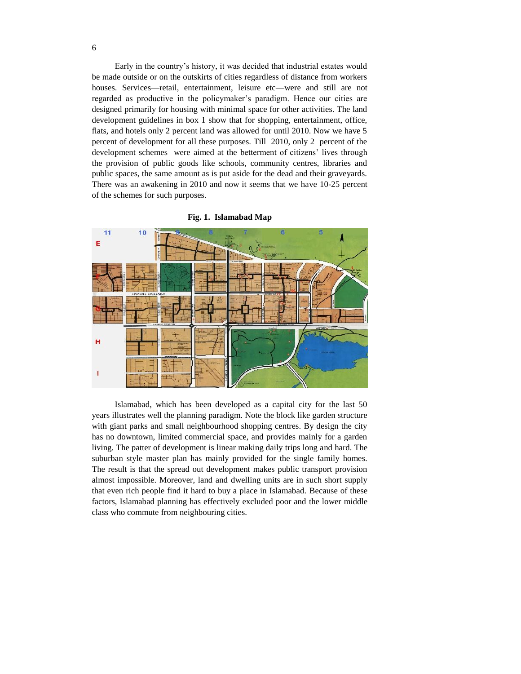Early in the country's history, it was decided that industrial estates would be made outside or on the outskirts of cities regardless of distance from workers houses. Services—retail, entertainment, leisure etc—were and still are not regarded as productive in the policymaker's paradigm. Hence our cities are designed primarily for housing with minimal space for other activities. The land development guidelines in box 1 show that for shopping, entertainment, office, flats, and hotels only 2 percent land was allowed for until 2010. Now we have 5 percent of development for all these purposes. Till 2010, only 2 percent of the development schemes were aimed at the betterment of citizens' lives through the provision of public goods like schools, community centres, libraries and public spaces, the same amount as is put aside for the dead and their graveyards. There was an awakening in 2010 and now it seems that we have 10-25 percent of the schemes for such purposes.



**Fig. 1. Islamabad Map**

Islamabad, which has been developed as a capital city for the last 50 years illustrates well the planning paradigm. Note the block like garden structure with giant parks and small neighbourhood shopping centres. By design the city has no downtown, limited commercial space, and provides mainly for a garden living. The patter of development is linear making daily trips long and hard. The suburban style master plan has mainly provided for the single family homes. The result is that the spread out development makes public transport provision almost impossible. Moreover, land and dwelling units are in such short supply that even rich people find it hard to buy a place in Islamabad. Because of these factors, Islamabad planning has effectively excluded poor and the lower middle class who commute from neighbouring cities.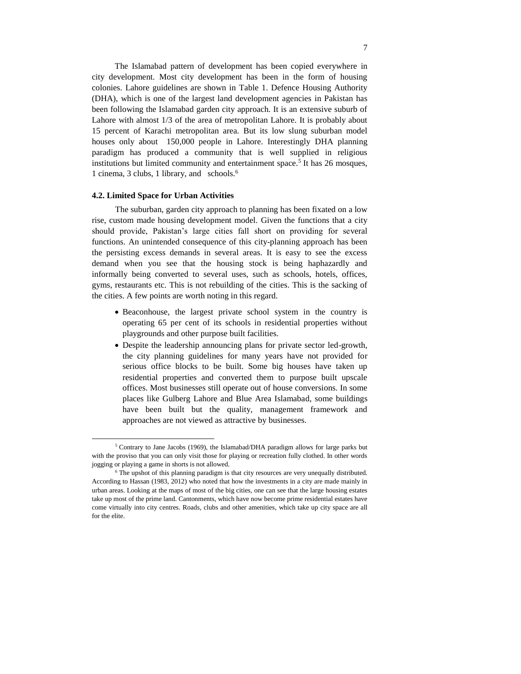The Islamabad pattern of development has been copied everywhere in city development. Most city development has been in the form of housing colonies. Lahore guidelines are shown in Table 1. Defence Housing Authority (DHA), which is one of the largest land development agencies in Pakistan has been following the Islamabad garden city approach. It is an extensive suburb of Lahore with almost 1/3 of the area of metropolitan Lahore. It is probably about 15 percent of Karachi metropolitan area. But its low slung suburban model houses only about 150,000 people in Lahore. Interestingly DHA planning paradigm has produced a community that is well supplied in religious institutions but limited community and entertainment space.<sup>5</sup> It has 26 mosques, 1 cinema, 3 clubs, 1 library, and schools.<sup>6</sup>

#### **4.2. Limited Space for Urban Activities**

l

The suburban, garden city approach to planning has been fixated on a low rise, custom made housing development model. Given the functions that a city should provide, Pakistan's large cities fall short on providing for several functions. An unintended consequence of this city-planning approach has been the persisting excess demands in several areas. It is easy to see the excess demand when you see that the housing stock is being haphazardly and informally being converted to several uses, such as schools, hotels, offices, gyms, restaurants etc. This is not rebuilding of the cities. This is the sacking of the cities. A few points are worth noting in this regard.

- Beaconhouse, the largest private school system in the country is operating 65 per cent of its schools in residential properties without playgrounds and other purpose built facilities.
- Despite the leadership announcing plans for private sector led-growth, the city planning guidelines for many years have not provided for serious office blocks to be built. Some big houses have taken up residential properties and converted them to purpose built upscale offices. Most businesses still operate out of house conversions. In some places like Gulberg Lahore and Blue Area Islamabad, some buildings have been built but the quality, management framework and approaches are not viewed as attractive by businesses.

 $5$  Contrary to Jane Jacobs (1969), the Islamabad/DHA paradigm allows for large parks but with the proviso that you can only visit those for playing or recreation fully clothed. In other words jogging or playing a game in shorts is not allowed.

<sup>&</sup>lt;sup>6</sup> The upshot of this planning paradigm is that city resources are very unequally distributed. According to Hassan (1983, 2012) who noted that how the investments in a city are made mainly in urban areas. Looking at the maps of most of the big cities, one can see that the large housing estates take up most of the prime land. Cantonments, which have now become prime residential estates have come virtually into city centres. Roads, clubs and other amenities, which take up city space are all for the elite.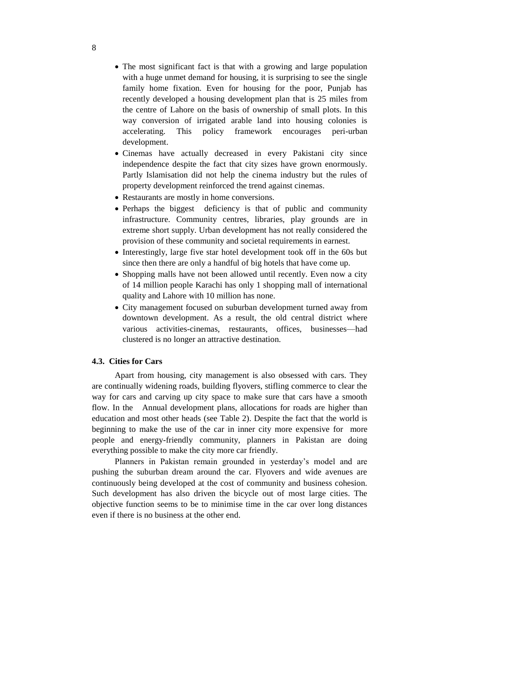- The most significant fact is that with a growing and large population with a huge unmet demand for housing, it is surprising to see the single family home fixation. Even for housing for the poor, Punjab has recently developed a housing development plan that is 25 miles from the centre of Lahore on the basis of ownership of small plots. In this way conversion of irrigated arable land into housing colonies is accelerating. This policy framework encourages peri-urban development.
- Cinemas have actually decreased in every Pakistani city since independence despite the fact that city sizes have grown enormously. Partly Islamisation did not help the cinema industry but the rules of property development reinforced the trend against cinemas.
- Restaurants are mostly in home conversions.
- Perhaps the biggest deficiency is that of public and community infrastructure. Community centres, libraries, play grounds are in extreme short supply. Urban development has not really considered the provision of these community and societal requirements in earnest.
- Interestingly, large five star hotel development took off in the 60s but since then there are only a handful of big hotels that have come up.
- Shopping malls have not been allowed until recently. Even now a city of 14 million people Karachi has only 1 shopping mall of international quality and Lahore with 10 million has none.
- City management focused on suburban development turned away from downtown development. As a result, the old central district where various activities-cinemas, restaurants, offices, businesses—had clustered is no longer an attractive destination.

#### **4.3. Cities for Cars**

Apart from housing, city management is also obsessed with cars. They are continually widening roads, building flyovers, stifling commerce to clear the way for cars and carving up city space to make sure that cars have a smooth flow. In the Annual development plans, allocations for roads are higher than education and most other heads (see Table 2). Despite the fact that the world is beginning to make the use of the car in inner city more expensive for more people and energy-friendly community, planners in Pakistan are doing everything possible to make the city more car friendly.

Planners in Pakistan remain grounded in yesterday's model and are pushing the suburban dream around the car. Flyovers and wide avenues are continuously being developed at the cost of community and business cohesion. Such development has also driven the bicycle out of most large cities. The objective function seems to be to minimise time in the car over long distances even if there is no business at the other end.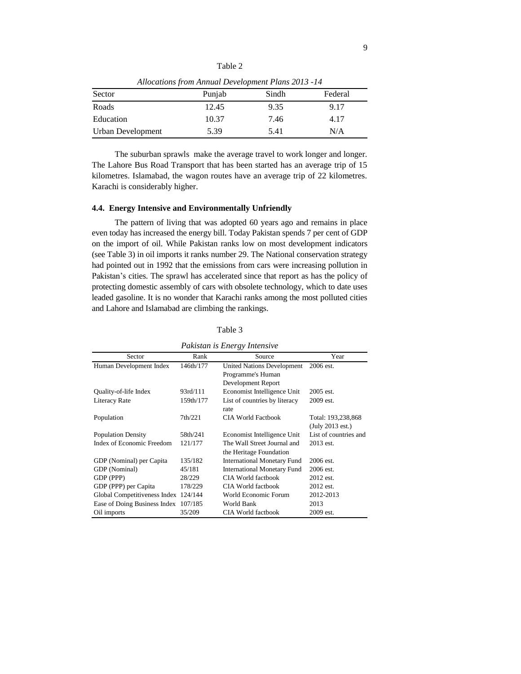| Allocations from Annual Development Plans 2013 -14 |        |       |         |  |
|----------------------------------------------------|--------|-------|---------|--|
| Sector                                             | Punjab | Sindh | Federal |  |
| Roads                                              | 12.45  | 9.35  | 9.17    |  |
| Education                                          | 10.37  | 7.46  | 4.17    |  |
| Urban Development                                  | 5.39   | 5.41  | N/A     |  |

Table 2

The suburban sprawls make the average travel to work longer and longer. The Lahore Bus Road Transport that has been started has an average trip of 15 kilometres. Islamabad, the wagon routes have an average trip of 22 kilometres. Karachi is considerably higher.

#### **4.4. Energy Intensive and Environmentally Unfriendly**

The pattern of living that was adopted 60 years ago and remains in place even today has increased the energy bill. Today Pakistan spends 7 per cent of GDP on the import of oil. While Pakistan ranks low on most development indicators (see Table 3) in oil imports it ranks number 29. The National conservation strategy had pointed out in 1992 that the emissions from cars were increasing pollution in Pakistan's cities. The sprawl has accelerated since that report as has the policy of protecting domestic assembly of cars with obsolete technology, which to date uses leaded gasoline. It is no wonder that Karachi ranks among the most polluted cities and Lahore and Islamabad are climbing the rankings.

| Pakistan is Energy Intensive |           |                                    |                       |  |
|------------------------------|-----------|------------------------------------|-----------------------|--|
| Sector                       | Rank      | Source                             | Year                  |  |
| Human Development Index      | 146th/177 | <b>United Nations Development</b>  | 2006 est.             |  |
|                              |           | Programme's Human                  |                       |  |
|                              |           | Development Report                 |                       |  |
| Quality-of-life Index        | 93rd/111  | Economist Intelligence Unit        | 2005 est.             |  |
| Literacy Rate                | 159th/177 | List of countries by literacy      | 2009 est.             |  |
|                              |           | rate                               |                       |  |
| Population                   | 7th/221   | CIA World Factbook                 | Total: 193,238,868    |  |
|                              |           |                                    | (July 2013 est.)      |  |
| <b>Population Density</b>    | 58th/241  | Economist Intelligence Unit        | List of countries and |  |
| Index of Economic Freedom    | 121/177   | The Wall Street Journal and        | 2013 est.             |  |
|                              |           | the Heritage Foundation            |                       |  |
| GDP (Nominal) per Capita     | 135/182   | <b>International Monetary Fund</b> | 2006 est.             |  |
| GDP (Nominal)                | 45/181    | <b>International Monetary Fund</b> | 2006 est.             |  |
| GDP (PPP)                    | 28/229    | CIA World factbook                 | 2012 est.             |  |
| GDP (PPP) per Capita         | 178/229   | CIA World factbook                 | 2012 est.             |  |
| Global Competitiveness Index | 124/144   | World Economic Forum               | 2012-2013             |  |
| Ease of Doing Business Index | 107/185   | World Bank                         | 2013                  |  |
| Oil imports                  | 35/209    | <b>CIA World factbook</b>          | 2009 est.             |  |

Table 3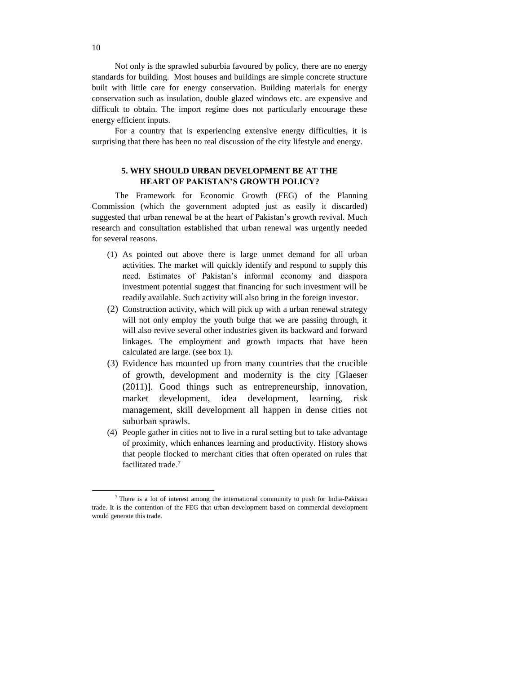Not only is the sprawled suburbia favoured by policy, there are no energy standards for building. Most houses and buildings are simple concrete structure built with little care for energy conservation. Building materials for energy conservation such as insulation, double glazed windows etc. are expensive and difficult to obtain. The import regime does not particularly encourage these energy efficient inputs.

For a country that is experiencing extensive energy difficulties, it is surprising that there has been no real discussion of the city lifestyle and energy.

#### **5. WHY SHOULD URBAN DEVELOPMENT BE AT THE HEART OF PAKISTAN'S GROWTH POLICY?**

The Framework for Economic Growth (FEG) of the Planning Commission (which the government adopted just as easily it discarded) suggested that urban renewal be at the heart of Pakistan's growth revival. Much research and consultation established that urban renewal was urgently needed for several reasons.

- (1) As pointed out above there is large unmet demand for all urban activities. The market will quickly identify and respond to supply this need. Estimates of Pakistan's informal economy and diaspora investment potential suggest that financing for such investment will be readily available. Such activity will also bring in the foreign investor.
- (2) Construction activity, which will pick up with a urban renewal strategy will not only employ the youth bulge that we are passing through, it will also revive several other industries given its backward and forward linkages. The employment and growth impacts that have been calculated are large. (see box 1).
- (3) Evidence has mounted up from many countries that the crucible of growth, development and modernity is the city [Glaeser (2011)]. Good things such as entrepreneurship, innovation, market development, idea development, learning, risk management, skill development all happen in dense cities not suburban sprawls.
- (4) People gather in cities not to live in a rural setting but to take advantage of proximity, which enhances learning and productivity. History shows that people flocked to merchant cities that often operated on rules that facilitated trade. 7

l

<sup>7</sup> There is a lot of interest among the international community to push for India-Pakistan trade. It is the contention of the FEG that urban development based on commercial development would generate this trade.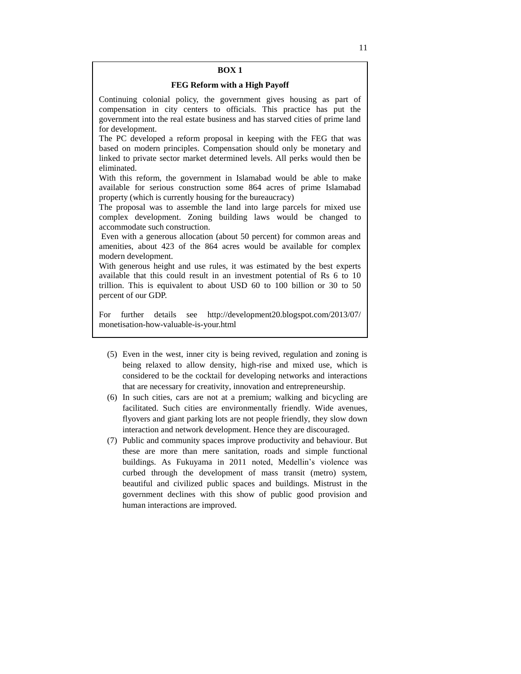#### **BOX 1**

#### **FEG Reform with a High Payoff**

Continuing colonial policy, the government gives housing as part of compensation in city centers to officials. This practice has put the government into the real estate business and has starved cities of prime land for development.

The PC developed a reform proposal in keeping with the FEG that was based on modern principles. Compensation should only be monetary and linked to private sector market determined levels. All perks would then be eliminated.

With this reform, the government in Islamabad would be able to make available for serious construction some 864 acres of prime Islamabad property (which is currently housing for the bureaucracy)

The proposal was to assemble the land into large parcels for mixed use complex development. Zoning building laws would be changed to accommodate such construction.

Even with a generous allocation (about 50 percent) for common areas and amenities, about 423 of the 864 acres would be available for complex modern development.

With generous height and use rules, it was estimated by the best experts available that this could result in an investment potential of Rs 6 to 10 trillion. This is equivalent to about USD 60 to 100 billion or 30 to 50 percent of our GDP.

For further details see http://development20.blogspot.com/2013/07/ monetisation-how-valuable-is-your.html

- (5) Even in the west, inner city is being revived, regulation and zoning is being relaxed to allow density, high-rise and mixed use, which is considered to be the cocktail for developing networks and interactions that are necessary for creativity, innovation and entrepreneurship.
- (6) In such cities, cars are not at a premium; walking and bicycling are facilitated. Such cities are environmentally friendly. Wide avenues, flyovers and giant parking lots are not people friendly, they slow down interaction and network development. Hence they are discouraged.
- (7) Public and community spaces improve productivity and behaviour. But these are more than mere sanitation, roads and simple functional buildings. As Fukuyama in 2011 noted, Medellin's violence was curbed through the development of mass transit (metro) system, beautiful and civilized public spaces and buildings. Mistrust in the government declines with this show of public good provision and human interactions are improved.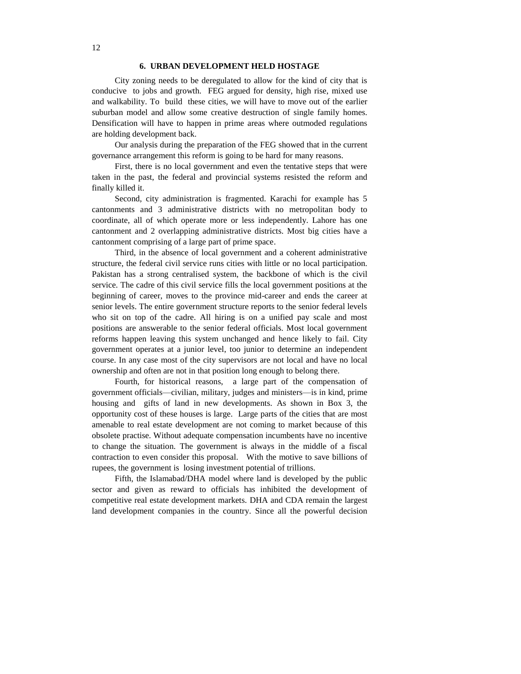#### **6. URBAN DEVELOPMENT HELD HOSTAGE**

City zoning needs to be deregulated to allow for the kind of city that is conducive to jobs and growth. FEG argued for density, high rise, mixed use and walkability. To build these cities, we will have to move out of the earlier suburban model and allow some creative destruction of single family homes. Densification will have to happen in prime areas where outmoded regulations are holding development back.

Our analysis during the preparation of the FEG showed that in the current governance arrangement this reform is going to be hard for many reasons.

First, there is no local government and even the tentative steps that were taken in the past, the federal and provincial systems resisted the reform and finally killed it.

Second, city administration is fragmented. Karachi for example has 5 cantonments and 3 administrative districts with no metropolitan body to coordinate, all of which operate more or less independently. Lahore has one cantonment and 2 overlapping administrative districts. Most big cities have a cantonment comprising of a large part of prime space.

Third, in the absence of local government and a coherent administrative structure, the federal civil service runs cities with little or no local participation. Pakistan has a strong centralised system, the backbone of which is the civil service. The cadre of this civil service fills the local government positions at the beginning of career, moves to the province mid-career and ends the career at senior levels. The entire government structure reports to the senior federal levels who sit on top of the cadre. All hiring is on a unified pay scale and most positions are answerable to the senior federal officials. Most local government reforms happen leaving this system unchanged and hence likely to fail. City government operates at a junior level, too junior to determine an independent course. In any case most of the city supervisors are not local and have no local ownership and often are not in that position long enough to belong there.

Fourth, for historical reasons, a large part of the compensation of government officials—civilian, military, judges and ministers—is in kind, prime housing and gifts of land in new developments. As shown in Box 3, the opportunity cost of these houses is large. Large parts of the cities that are most amenable to real estate development are not coming to market because of this obsolete practise. Without adequate compensation incumbents have no incentive to change the situation. The government is always in the middle of a fiscal contraction to even consider this proposal. With the motive to save billions of rupees, the government is losing investment potential of trillions.

Fifth, the Islamabad/DHA model where land is developed by the public sector and given as reward to officials has inhibited the development of competitive real estate development markets. DHA and CDA remain the largest land development companies in the country. Since all the powerful decision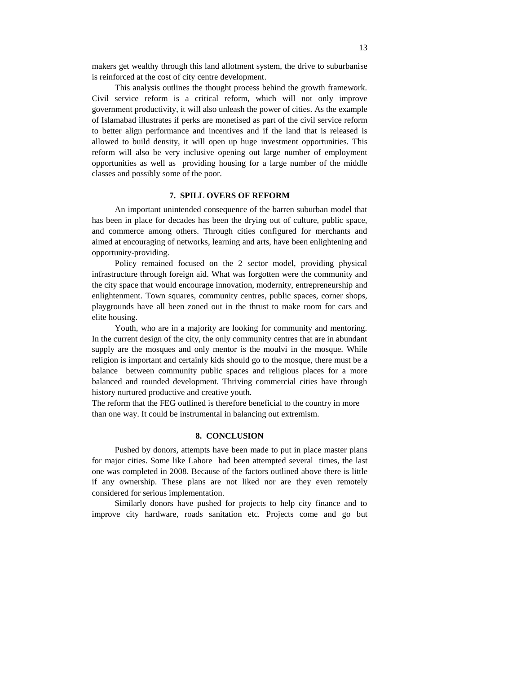makers get wealthy through this land allotment system, the drive to suburbanise is reinforced at the cost of city centre development.

This analysis outlines the thought process behind the growth framework. Civil service reform is a critical reform, which will not only improve government productivity, it will also unleash the power of cities. As the example of Islamabad illustrates if perks are monetised as part of the civil service reform to better align performance and incentives and if the land that is released is allowed to build density, it will open up huge investment opportunities. This reform will also be very inclusive opening out large number of employment opportunities as well as providing housing for a large number of the middle classes and possibly some of the poor.

#### **7. SPILL OVERS OF REFORM**

An important unintended consequence of the barren suburban model that has been in place for decades has been the drying out of culture, public space, and commerce among others. Through cities configured for merchants and aimed at encouraging of networks, learning and arts, have been enlightening and opportunity-providing.

Policy remained focused on the 2 sector model, providing physical infrastructure through foreign aid. What was forgotten were the community and the city space that would encourage innovation, modernity, entrepreneurship and enlightenment. Town squares, community centres, public spaces, corner shops, playgrounds have all been zoned out in the thrust to make room for cars and elite housing.

Youth, who are in a majority are looking for community and mentoring. In the current design of the city, the only community centres that are in abundant supply are the mosques and only mentor is the moulvi in the mosque. While religion is important and certainly kids should go to the mosque, there must be a balance between community public spaces and religious places for a more balanced and rounded development. Thriving commercial cities have through history nurtured productive and creative youth.

The reform that the FEG outlined is therefore beneficial to the country in more than one way. It could be instrumental in balancing out extremism.

#### **8. CONCLUSION**

Pushed by donors, attempts have been made to put in place master plans for major cities. Some like Lahore had been attempted several times, the last one was completed in 2008. Because of the factors outlined above there is little if any ownership. These plans are not liked nor are they even remotely considered for serious implementation.

Similarly donors have pushed for projects to help city finance and to improve city hardware, roads sanitation etc. Projects come and go but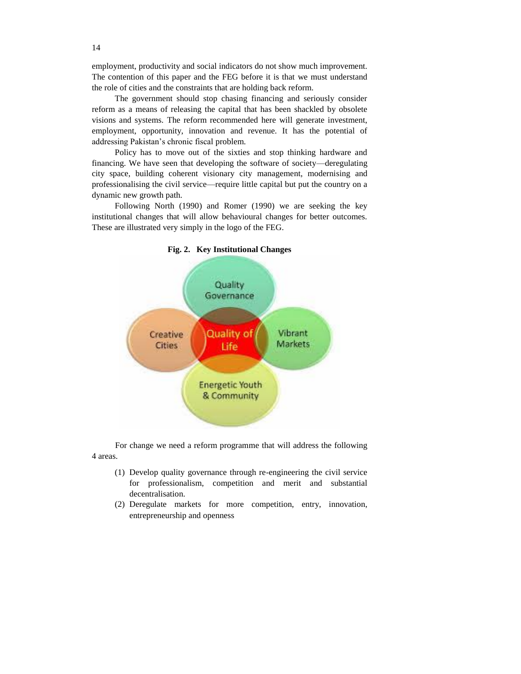employment, productivity and social indicators do not show much improvement. The contention of this paper and the FEG before it is that we must understand the role of cities and the constraints that are holding back reform.

The government should stop chasing financing and seriously consider reform as a means of releasing the capital that has been shackled by obsolete visions and systems. The reform recommended here will generate investment, employment, opportunity, innovation and revenue. It has the potential of addressing Pakistan's chronic fiscal problem.

Policy has to move out of the sixties and stop thinking hardware and financing. We have seen that developing the software of society—deregulating city space, building coherent visionary city management, modernising and professionalising the civil service—require little capital but put the country on a dynamic new growth path.

Following North (1990) and Romer (1990) we are seeking the key institutional changes that will allow behavioural changes for better outcomes. These are illustrated very simply in the logo of the FEG.



**Fig. 2. Key Institutional Changes**

For change we need a reform programme that will address the following 4 areas.

- (1) Develop quality governance through re-engineering the civil service for professionalism, competition and merit and substantial decentralisation.
- (2) Deregulate markets for more competition, entry, innovation, entrepreneurship and openness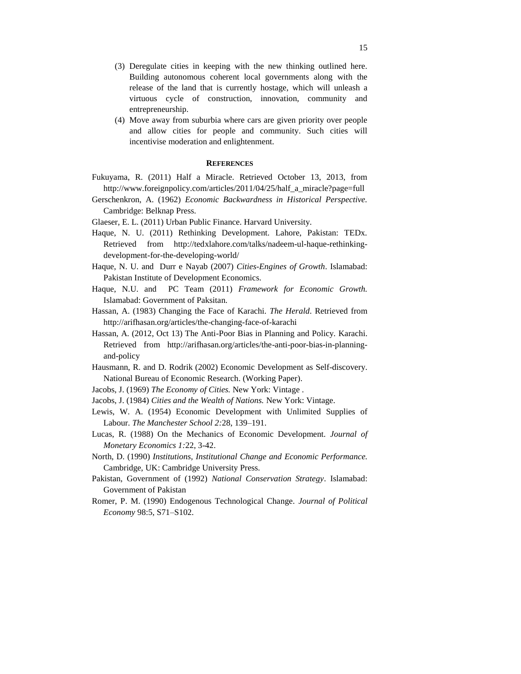- (3) Deregulate cities in keeping with the new thinking outlined here. Building autonomous coherent local governments along with the release of the land that is currently hostage, which will unleash a virtuous cycle of construction, innovation, community and entrepreneurship.
- (4) Move away from suburbia where cars are given priority over people and allow cities for people and community. Such cities will incentivise moderation and enlightenment.

#### **REFERENCES**

- Fukuyama, R. (2011) Half a Miracle. Retrieved October 13, 2013, from http://www.foreignpolicy.com/articles/2011/04/25/half\_a\_miracle?page=full
- Gerschenkron, A. (1962) *Economic Backwardness in Historical Perspective.* Cambridge: Belknap Press.
- Glaeser, E. L. (2011) Urban Public Finance. Harvard University.
- Haque, N. U. (2011) Rethinking Development. Lahore, Pakistan: TEDx. Retrieved from http://tedxlahore.com/talks/nadeem-ul-haque-rethinkingdevelopment-for-the-developing-world/
- Haque, N. U. and Durr e Nayab (2007) *Cities-Engines of Growth*. Islamabad: Pakistan Institute of Development Economics.
- Haque, N.U. and PC Team (2011) *Framework for Economic Growth.* Islamabad: Government of Paksitan.
- Hassan, A. (1983) Changing the Face of Karachi. *The Herald*. Retrieved from http://arifhasan.org/articles/the-changing-face-of-karachi
- Hassan, A. (2012, Oct 13) The Anti-Poor Bias in Planning and Policy. Karachi. Retrieved from http://arifhasan.org/articles/the-anti-poor-bias-in-planningand-policy
- Hausmann, R. and D. Rodrik (2002) Economic Development as Self-discovery. National Bureau of Economic Research. (Working Paper).
- Jacobs, J. (1969) *The Economy of Cities.* New York: Vintage .
- Jacobs, J. (1984) *Cities and the Wealth of Nations.* New York: Vintage.
- Lewis, W. A. (1954) Economic Development with Unlimited Supplies of Labour. *The Manchester School 2:*28, 139–191.
- Lucas, R. (1988) On the Mechanics of Economic Development. *Journal of Monetary Economics 1:*22, 3-42.
- North, D. (1990) *Institutions, Institutional Change and Economic Performance.* Cambridge, UK: Cambridge University Press.
- Pakistan, Government of (1992) *National Conservation Strategy*. Islamabad: Government of Pakistan
- Romer, P. M. (1990) Endogenous Technological Change. *Journal of Political Economy* 98:5, S71–S102.